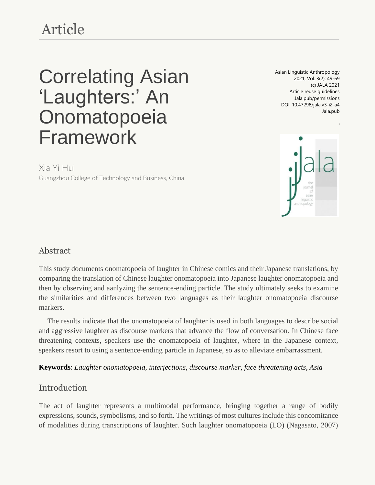## Article

# Correlating Asian 'Laughters:' An Onomatopoeia Framework

Asian Linguistic Anthropology 2021, Vol. 3(2): 49-69 (c) JALA 2021 Article reuse guidelines Jala.pub/permissions DOI: 10.47298/jala.v3-i2-a4 Jala.pub



Xia Yi Hui

Guangzhou College of Technology and Business, China

## Abstract

This study documents onomatopoeia of laughter in Chinese comics and their Japanese translations, by comparing the translation of Chinese laughter onomatopoeia into Japanese laughter onomatopoeia and then by observing and aanlyzing the sentence-ending particle. The study ultimately seeks to examine the similarities and differences between two languages as their laughter onomatopoeia discourse markers.

The results indicate that the onomatopoeia of laughter is used in both languages to describe social and aggressive laughter as discourse markers that advance the flow of conversation. In Chinese face threatening contexts, speakers use the onomatopoeia of laughter, where in the Japanese context, speakers resort to using a sentence-ending particle in Japanese, so as to alleviate embarrassment.

**Keywords**: *Laughter onomatopoeia, interjections, discourse marker, face threatening acts, Asia*

## Introduction

The act of laughter represents a multimodal performance, bringing together a range of bodily expressions, sounds, symbolisms, and so forth. The writings of most cultures include this concomitance of modalities during transcriptions of laughter. Such laughter onomatopoeia (LO) (Nagasato, 2007)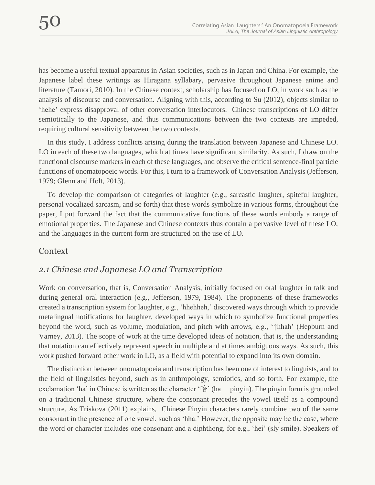has become a useful textual apparatus in Asian societies, such as in Japan and China. For example, the Japanese label these writings as Hiragana syllabary, pervasive throughout Japanese anime and literature (Tamori, 2010). In the Chinese context, scholarship has focused on LO, in work such as the analysis of discourse and conversation. Aligning with this, according to Su (2012), objects similar to 'hehe' express disapproval of other conversation interlocutors. Chinese transcriptions of LO differ semiotically to the Japanese, and thus communications between the two contexts are impeded, requiring cultural sensitivity between the two contexts.

In this study, I address conflicts arising during the translation between Japanese and Chinese LO. LO in each of these two languages, which at times have significant similarity. As such, I draw on the functional discourse markers in each of these languages, and observe the critical sentence-final particle functions of onomatopoeic words. For this, I turn to a framework of Conversation Analysis (Jefferson, 1979; Glenn and Holt, 2013).

To develop the comparison of categories of laughter (e.g., sarcastic laughter, spiteful laughter, personal vocalized sarcasm, and so forth) that these words symbolize in various forms, throughout the paper, I put forward the fact that the communicative functions of these words embody a range of emotional properties. The Japanese and Chinese contexts thus contain a pervasive level of these LO, and the languages in the current form are structured on the use of LO.

#### Context

## *2.1 Chinese and Japanese LO and Transcription*

Work on conversation, that is, Conversation Analysis, initially focused on oral laughter in talk and during general oral interaction (e.g., Jefferson, 1979, 1984). The proponents of these frameworks created a transcription system for laughter, e.g., 'hhehheh,' discovered ways through which to provide metalingual notifications for laughter, developed ways in which to symbolize functional properties beyond the word, such as volume, modulation, and pitch with arrows, e.g., '↑hhah' (Hepburn and Varney, 2013). The scope of work at the time developed ideas of notation, that is, the understanding that notation can effectively represent speech in multiple and at times ambiguous ways. As such, this work pushed forward other work in LO, as a field with potential to expand into its own domain.

The distinction between onomatopoeia and transcription has been one of interest to linguists, and to the field of linguistics beyond, such as in anthropology, semiotics, and so forth. For example, the exclamation 'ha' in Chinese is written as the character  $\mathbb{R}^{\wedge}$  (ha pinyin). The pinyin form is grounded on a traditional Chinese structure, where the consonant precedes the vowel itself as a compound structure. As Triskova (2011) explains, Chinese Pinyin characters rarely combine two of the same consonant in the presence of one vowel, such as 'hha.' However, the opposite may be the case, where the word or character includes one consonant and a diphthong, for e.g., 'hei' (sly smile). Speakers of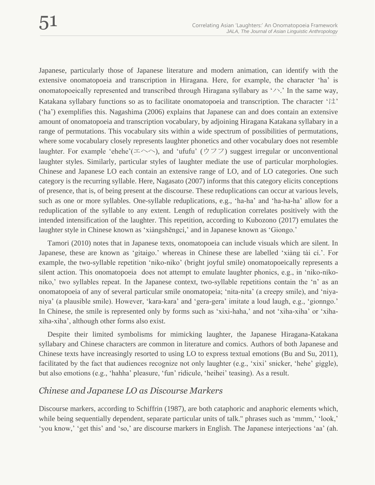Japanese, particularly those of Japanese literature and modern animation, can identify with the extensive onomatopoeia and transcription in Hiragana. Here, for example, the character 'ha' is onomatopoeically represented and transcribed through Hiragana syllabary as 'ハ.' In the same way, Katakana syllabary functions so as to facilitate onomatopoeia and transcription. The character 'は' ('ha') exemplifies this. Nagashima (2006) explains that Japanese can and does contain an extensive amount of onomatopoeia and transcription vocabulary, by adjoining Hiragana Katakana syllabary in a range of permutations. This vocabulary sits within a wide spectrum of possibilities of permutations, where some vocabulary closely represents laughter phonetics and other vocabulary does not resemble laughter. For example 'ehehe'(エヘヘ), and 'ufufu' (ウフフ) suggest irregular or unconventional laughter styles. Similarly, particular styles of laughter mediate the use of particular morphologies. Chinese and Japanese LO each contain an extensive range of LO, and of LO categories. One such category is the recurring syllable. Here, Nagasato (2007) informs that this category elicits conceptions of presence, that is, of being present at the discourse. These reduplications can occur at various levels, such as one or more syllables. One-syllable reduplications, e.g., 'ha-ha' and 'ha-ha-ha' allow for a reduplication of the syllable to any extent. Length of reduplication correlates positively with the intended intensification of the laughter. This repetition, according to Kubozono (2017) emulates the laughter style in Chinese known as 'xiàngshēngcí,' and in Japanese known as 'Giongo.'

Tamori (2010) notes that in Japanese texts, onomatopoeia can include visuals which are silent. In Japanese, these are known as 'gitaigo.' whereas in Chinese these are labelled 'xiàng tài cí.'. For example, the two-syllable repetition 'niko-niko' (bright joyful smile) onomatopoeically represents a silent action. This onomatopoeia does not attempt to emulate laughter phonics, e.g., in 'niko-nikoniko,' two syllables repeat. In the Japanese context, two-syllable repetitions contain the 'n' as an onomatopoeia of any of several particular smile onomatopeia; 'nita-nita' (a creepy smile), and 'niyaniya' (a plausible smile). However, 'kara-kara' and 'gera-gera' imitate a loud laugh, e.g., 'gionngo.' In Chinese, the smile is represented only by forms such as 'xixi-haha,' and not 'xiha-xiha' or 'xihaxiha-xiha', although other forms also exist.

Despite their limited symbolisms for mimicking laughter, the Japanese Hiragana-Katakana syllabary and Chinese characters are common in literature and comics. Authors of both Japanese and Chinese texts have increasingly resorted to using LO to express textual emotions (Bu and Su, 2011), facilitated by the fact that audiences recognize not only laughter (e.g., 'xixi' snicker, 'hehe' giggle), but also emotions (e.g., 'hahha' pleasure, 'fun' ridicule, 'heihei' teasing). As a result.

#### *Chinese and Japanese LO as Discourse Markers*

Discourse markers, according to Schiffrin (1987), are both cataphoric and anaphoric elements which, while being sequentially dependent, separate particular units of talk." phrases such as 'mmm,' 'look,' 'you know,' 'get this' and 'so,' are discourse markers in English. The Japanese interjections 'aa' (ah.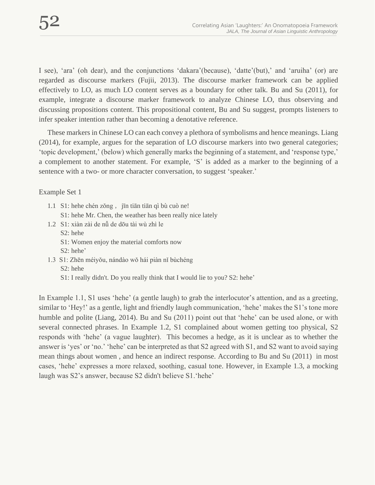I see), 'ara' (oh dear), and the conjunctions 'dakara'(because), 'datte'(but),' and 'aruiha' (or) are regarded as discourse markers (Fujii, 2013). The discourse marker framework can be applied effectively to LO, as much LO content serves as a boundary for other talk. Bu and Su (2011), for example, integrate a discourse marker framework to analyze Chinese LO, thus observing and discussing propositions content. This propositional content, Bu and Su suggest, prompts listeners to infer speaker intention rather than becoming a denotative reference.

These markers in Chinese LO can each convey a plethora of symbolisms and hence meanings. Liang (2014), for example, argues for the separation of LO discourse markers into two general categories; 'topic development,' (below) which generally marks the beginning of a statement, and 'response type,' a complement to another statement. For example, 'S' is added as a marker to the beginning of a sentence with a two- or more character conversation, to suggest 'speaker.'

Example Set 1

- 1.1 S1: hehe chén zǒng, jīn tiān tiān qì bù cuò ne!
	- S1: hehe Mr. Chen, the weather has been really nice lately
- 1.2 S1: xiàn zài de nǚ de dōu tài wù zhì le S2: hehe
	- S1: Women enjoy the material comforts now
	- S2: hehe'
- 1.3 S1: Zhēn méiyǒu, nándào wǒ hái piàn nǐ bùchéng
	- S2: hehe
	- S1: I really didn't. Do you really think that I would lie to you? S2: hehe'

In Example 1.1, S1 uses 'hehe' (a gentle laugh) to grab the interlocutor's attention, and as a greeting, similar to 'Hey!' as a gentle, light and friendly laugh communication, 'hehe' makes the S1's tone more humble and polite (Liang, 2014). Bu and Su (2011) point out that 'hehe' can be used alone, or with several connected phrases. In Example 1.2, S1 complained about women getting too physical, S2 responds with 'hehe' (a vague laughter). This becomes a hedge, as it is unclear as to whether the answer is 'yes' or 'no.' 'hehe' can be interpreted as that S2 agreed with S1, and S2 want to avoid saying mean things about women , and hence an indirect response. According to Bu and Su (2011) in most cases, 'hehe' expresses a more relaxed, soothing, casual tone. However, in Example 1.3, a mocking laugh was S2's answer, because S2 didn't believe S1.'hehe'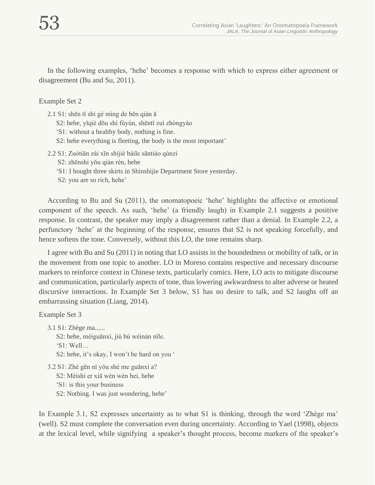In the following examples, 'hehe' becomes a response with which to express either agreement or disagreement (Bu and Su, 2011).

#### Example Set 2

- 2.1 S1: shēn tǐ shì gé mìng de běn qián ā
	- S2: hehe, yīqiè dōu shì fúyún, shēntǐ zuì zhòngyào
	- 'S1: without a healthy body, nothing is fine.
	- S2: hehe everything is fleeting, the body is the most important'
- 2.2 S1: Zuótiān zài xīn shìjiè bàile sāntiáo qúnzi
	- S2: zhēnshi yǒu qián rén, hehe
	- 'S1: I bought three skirts in Shinshijie Department Store yesterday.
	- S2: you are so rich, hehe'

According to Bu and Su (2011), the onomatopoeic 'hehe' highlights the affective or emotional component of the speech. As such, 'hehe' (a friendly laugh) in Example 2.1 suggests a positive response. In contrast, the speaker may imply a disagreement rather than a denial. In Example 2.2, a perfunctory 'hehe' at the beginning of the response, ensures that S2 is not speaking forcefully, and hence softens the tone. Conversely, without this LO, the tone remains sharp.

I agree with Bu and Su (2011) in noting that LO assists in the boundedness or mobility of talk, or in the movement from one topic to another. LO in Moreso contains respective and necessary discourse markers to reinforce context in Chinese texts, particularly comics. Here, LO acts to mitigate discourse and communication, particularly aspects of tone, thus lowering awkwardness to alter adverse or heated discursive interactions. In Example Set 3 below, S1 has no desire to talk, and S2 laughs off an embarrassing situation (Liang, 2014).

#### Example Set 3

- 3.1 S1: Zhège ma......
	- S2: hehe, méiguānxì, jiù bù wéinán nǐle.
	- 'S1: Well…

S2: hehe, it's okay, I won't be hard on you '

3.2 S1: Zhè gēn nǐ yǒu shé me guānxì a? S2: Méishì er xiā wèn wèn bei, hehe 'S1: is this your business S2: Nothing. I was just wondering, hehe'

In Example 3.1, S2 expresses uncertainty as to what S1 is thinking, through the word 'Zhège ma' (well). S2 must complete the conversation even during uncertainty. According to Yael (1998), objects at the lexical level, while signifying a speaker's thought process, become markers of the speaker's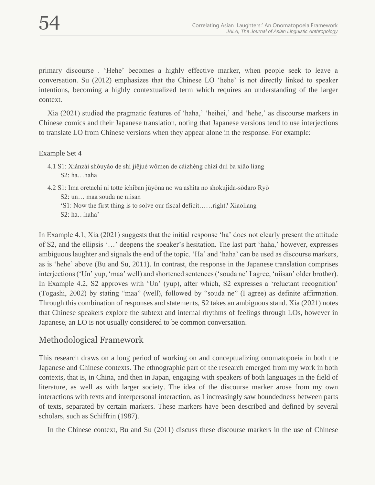primary discourse . 'Hehe' becomes a highly effective marker, when people seek to leave a conversation. Su (2012) emphasizes that the Chinese LO 'hehe' is not directly linked to speaker intentions, becoming a highly contextualized term which requires an understanding of the larger context.

Xia (2021) studied the pragmatic features of 'haha,' 'heihei,' and 'hehe,' as discourse markers in Chinese comics and their Japanese translation, noting that Japanese versions tend to use interjections to translate LO from Chinese versions when they appear alone in the response. For example:

#### Example Set 4

4.2 S1: Ima oretachi ni totte ichiban jūyōna no wa ashita no shokujida-sōdaro Ryō S2: un… maa souda ne niisan

'S1: Now the first thing is to solve our fiscal deficit……right? Xiaoliang S2: ha…haha'

In Example 4.1, Xia (2021) suggests that the initial response 'ha' does not clearly present the attitude of S2, and the ellipsis '…' deepens the speaker's hesitation. The last part 'haha,' however, expresses ambiguous laughter and signals the end of the topic. 'Ha' and 'haha' can be used as discourse markers, as is 'hehe' above (Bu and Su, 2011). In contrast, the response in the Japanese translation comprises interjections ('Un' yup, 'maa' well) and shortened sentences ('souda ne' I agree, 'niisan' older brother). In Example 4.2, S2 approves with 'Un' (yup), after which, S2 expresses a 'reluctant recognition' (Togashi, 2002) by stating "maa" (well), followed by "souda ne" (I agree) as definite affirmation. Through this combination of responses and statements, S2 takes an ambiguous stand. Xia (2021) notes that Chinese speakers explore the subtext and internal rhythms of feelings through LOs, however in Japanese, an LO is not usually considered to be common conversation.

## Methodological Framework

This research draws on a long period of working on and conceptualizing onomatopoeia in both the Japanese and Chinese contexts. The ethnographic part of the research emerged from my work in both contexts, that is, in China, and then in Japan, engaging with speakers of both languages in the field of literature, as well as with larger society. The idea of the discourse marker arose from my own interactions with texts and interpersonal interaction, as I increasingly saw boundedness between parts of texts, separated by certain markers. These markers have been described and defined by several scholars, such as Schiffrin (1987).

In the Chinese context, Bu and Su (2011) discuss these discourse markers in the use of Chinese

<sup>4.1</sup> S1: Xiànzài shǒuyào de shì jiějué wǒmen de cáizhèng chìzì duì ba xiǎo liàng S2: ha…haha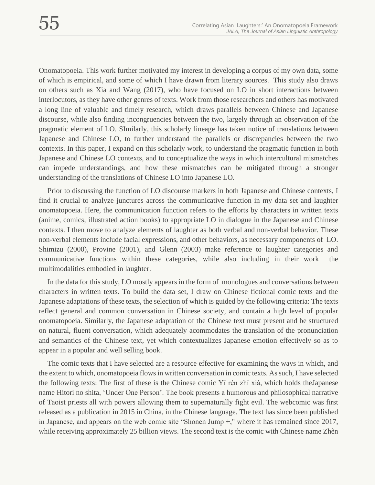Onomatopoeia. This work further motivated my interest in developing a corpus of my own data, some of which is empirical, and some of which I have drawn from literary sources. This study also draws on others such as Xia and Wang (2017), who have focused on LO in short interactions between interlocutors, as they have other genres of texts. Work from those researchers and others has motivated a long line of valuable and timely research, which draws parallels between Chinese and Japanese discourse, while also finding incongruencies between the two, largely through an observation of the pragmatic element of LO. SImilarly, this scholarly lineage has taken notice of translations between Japanese and Chinese LO, to further understand the parallels or discrepancies between the two contexts. In this paper, I expand on this scholarly work, to understand the pragmatic function in both Japanese and Chinese LO contexts, and to conceptualize the ways in which intercultural mismatches can impede understandings, and how these mismatches can be mitigated through a stronger understanding of the translations of Chinese LO into Japanese LO.

Prior to discussing the function of LO discourse markers in both Japanese and Chinese contexts, I find it crucial to analyze junctures across the communicative function in my data set and laughter onomatopoeia. Here, the communication function refers to the efforts by characters in written texts (anime, comics, illustrated action books) to appropriate LO in dialogue in the Japanese and Chinese contexts. I then move to analyze elements of laughter as both verbal and non-verbal behavior. These non-verbal elements include facial expressions, and other behaviors, as necessary components of LO. Shimizu (2000), Provine (2001), and Glenn (2003) make reference to laughter categories and communicative functions within these categories, while also including in their work the multimodalities embodied in laughter.

In the data for this study, LO mostly appears in the form of monologues and conversations between characters in written texts. To build the data set, I draw on Chinese fictional comic texts and the Japanese adaptations of these texts, the selection of which is guided by the following criteria: The texts reflect general and common conversation in Chinese society, and contain a high level of popular onomatopoeia. Similarly, the Japanese adaptation of the Chinese text must present and be structured on natural, fluent conversation, which adequately acommodates the translation of the pronunciation and semantics of the Chinese text, yet which contextualizes Japanese emotion effectively so as to appear in a popular and well selling book.

The comic texts that I have selected are a resource effective for examining the ways in which, and the extent to which, onomatopoeia flows in written conversation in comic texts. As such, I have selected the following texts: The first of these is the Chinese comic Yī rén zhī xià, which holds theJapanese name Hitori no shita, 'Under One Person'. The book presents a humorous and philosophical narrative of Taoist priests all with powers allowing them to supernaturally fight evil. The webcomic was first released as a publication in 2015 in China, in the Chinese language. The text has since been published in Japanese, and appears on the web comic site "Shonen Jump +," where it has remained since 2017, while receiving approximately 25 billion views. The second text is the comic with Chinese name Zhèn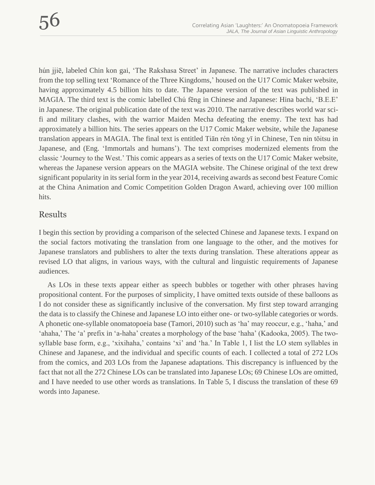hún jjiē, labeled Chin kon gai, 'The Rakshasa Street' in Japanese. The narrative includes characters from the top selling text 'Romance of the Three Kingdoms,' housed on the U17 Comic Maker website, having approximately 4.5 billion hits to date. The Japanese version of the text was published in MAGIA. The third text is the comic labelled Chú fēng in Chinese and Japanese: Hina bachi, 'B.E.E' in Japanese. The original publication date of the text was 2010. The narrative describes world war scifi and military clashes, with the warrior Maiden Mecha defeating the enemy. The text has had approximately a billion hits. The series appears on the U17 Comic Maker website, while the Japanese translation appears in MAGIA. The final text is entitled Tiān rén tǒng yī in Chinese, Ten nin tōitsu in Japanese, and (Eng. 'Immortals and humans'). The text comprises modernized elements from the classic 'Journey to the West.' This comic appears as a series of texts on the U17 Comic Maker website, whereas the Japanese version appears on the MAGIA website. The Chinese original of the text drew significant popularity in its serial form in the year 2014, receiving awards as second best Feature Comic at the China Animation and Comic Competition Golden Dragon Award, achieving over 100 million hits.

#### Results

I begin this section by providing a comparison of the selected Chinese and Japanese texts. I expand on the social factors motivating the translation from one language to the other, and the motives for Japanese translators and publishers to alter the texts during translation. These alterations appear as revised LO that aligns, in various ways, with the cultural and linguistic requirements of Japanese audiences.

As LOs in these texts appear either as speech bubbles or together with other phrases having propositional content. For the purposes of simplicity, I have omitted texts outside of these balloons as I do not consider these as significantly inclusive of the conversation. My first step toward arranging the data is to classify the Chinese and Japanese LO into either one- or two-syllable categories or words. A phonetic one-syllable onomatopoeia base (Tamori, 2010) such as 'ha' may reoccur, e.g., 'haha,' and 'ahaha,' The 'a' prefix in 'a-haha' creates a morphology of the base 'haha' (Kadooka, 2005). The twosyllable base form, e.g., 'xixihaha,' contains 'xi' and 'ha.' In Table 1, I list the LO stem syllables in Chinese and Japanese, and the individual and specific counts of each. I collected a total of 272 LOs from the comics, and 203 LOs from the Japanese adaptations. This discrepancy is influenced by the fact that not all the 272 Chinese LOs can be translated into Japanese LOs; 69 Chinese LOs are omitted, and I have needed to use other words as translations. In Table 5, I discuss the translation of these 69 words into Japanese.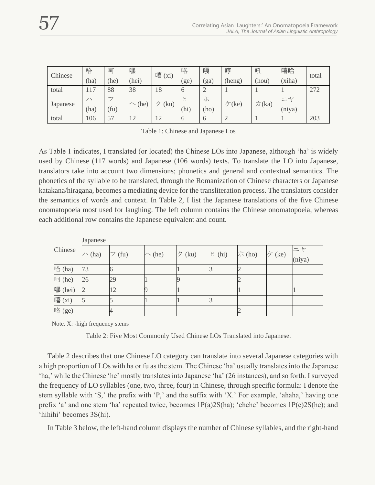| Chinese  | 哈    | 呵    | 嘿           | 嘻<br>$(x_i)$ | 咯        | 嘎    | 哼                  | 吼                          | 嘻哈     | total |
|----------|------|------|-------------|--------------|----------|------|--------------------|----------------------------|--------|-------|
|          | (ha) | (he) | (hei)       |              | ge)      | (ga) | (heng)             | (hou)                      | (xiha) |       |
| total    | 17   | 88   | 38          | 18           | $\circ$  |      |                    |                            |        | 272   |
| Japanese | ノ丶   | ⇁    | $\sim$ (he) | (ku)         | ▷        | 朩    | $\mathcal{F}$ (ke) | $-1$<br>力(ka)<br>$(n$ iya) |        |       |
|          | (ha) | (fu) |             |              | (hi)     | (ho) |                    |                            |        |       |
| total    | 106  | 57   | 12          | 12           | $\theta$ | O    |                    |                            |        | 203   |

Table 1: Chinese and Japanese Los

As Table 1 indicates, I translated (or located) the Chinese LOs into Japanese, although 'ha' is widely used by Chinese (117 words) and Japanese (106 words) texts. To translate the LO into Japanese, translators take into account two dimensions; phonetics and general and contextual semantics. The phonetics of the syllable to be translated, through the Romanization of Chinese characters or Japanese katakana/hiragana, becomes a mediating device for the transliteration process. The translators consider the semantics of words and context. In Table 2, I list the Japanese translations of the five Chinese onomatopoeia most used for laughing. The left column contains the Chinese onomatopoeia, whereas each additional row contains the Japanese equivalent and count.

|         | Japanese      |                    |             |           |       |              |        |              |
|---------|---------------|--------------------|-------------|-----------|-------|--------------|--------|--------------|
| Chinese | $\wedge$ (ha) | $\mathcal{I}$ (fu) | $\sim$ (he) | ク<br>(ku) | E(hi) | <b>ホ(ho)</b> | ケ (ke) | 二ヤ<br>(niya) |
| 哈 (ha)  | 73            | 10                 |             |           |       |              |        |              |
| 呵(he)   | 26            | 29                 |             |           |       |              |        |              |
| 嘿 (hei) |               | $\overline{2}$     |             |           |       |              |        |              |
| 嘻(xi)   |               |                    |             |           |       |              |        |              |
| 咯(ge)   |               |                    |             |           |       |              |        |              |

Note. X: -high frequency stems

Table 2: Five Most Commonly Used Chinese LOs Translated into Japanese.

Table 2 describes that one Chinese LO category can translate into several Japanese categories with a high proportion of LOs with ha or fu as the stem. The Chinese 'ha' usually translates into the Japanese 'ha,' while the Chinese 'he' mostly translates into Japanese 'ha' (26 instances), and so forth. I surveyed the frequency of LO syllables (one, two, three, four) in Chinese, through specific formula: I denote the stem syllable with 'S,' the prefix with 'P,' and the suffix with 'X.' For example, 'ahaha,' having one prefix 'a' and one stem 'ha' repeated twice, becomes 1P(a)2S(ha); 'ehehe' becomes 1P(e)2S(he); and 'hihihi' becomes 3S(hi).

In Table 3 below, the left-hand column displays the number of Chinese syllables, and the right-hand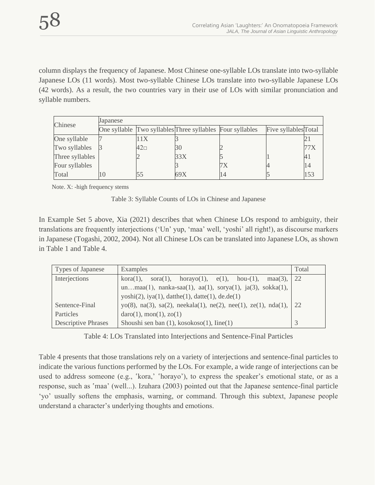column displays the frequency of Japanese. Most Chinese one-syllable LOs translate into two-syllable Japanese LOs (11 words). Most two-syllable Chinese LOs translate into two-syllable Japanese LOs (42 words). As a result, the two countries vary in their use of LOs with similar pronunciation and syllable numbers.

| Chinese         | Japanese |          |                                                           |  |                      |   |  |  |
|-----------------|----------|----------|-----------------------------------------------------------|--|----------------------|---|--|--|
|                 |          |          | One syllable Two syllables Three syllables Four syllables |  | Five syllables Total |   |  |  |
| One syllable    |          |          |                                                           |  |                      |   |  |  |
| Two syllables   |          | $42\Box$ | 30                                                        |  |                      |   |  |  |
| Three syllables |          |          | 33X                                                       |  |                      | 4 |  |  |
| Four syllables  |          |          |                                                           |  |                      |   |  |  |
| Total           |          |          | 69X                                                       |  |                      |   |  |  |

Note. X: -high frequency stems

| Table 3: Syllable Counts of LOs in Chinese and Japanese |
|---------------------------------------------------------|
|---------------------------------------------------------|

In Example Set 5 above, Xia (2021) describes that when Chinese LOs respond to ambiguity, their translations are frequently interjections ('Un' yup, 'maa' well, 'yoshi' all right!), as discourse markers in Japanese (Togashi, 2002, 2004). Not all Chinese LOs can be translated into Japanese LOs, as shown in Table 1 and Table 4.

| Types of Japanese          | Examples                                                                          | Total |  |  |  |  |
|----------------------------|-----------------------------------------------------------------------------------|-------|--|--|--|--|
| Interjections              | kora(1), sora(1), horayo(1), $e(1)$ , hou-(1), maa(3),                            | 22    |  |  |  |  |
|                            | unmaa $(1)$ , nanka-saa $(1)$ , aa $(1)$ , sorya $(1)$ , ja $(3)$ , sokka $(1)$ , |       |  |  |  |  |
|                            | $yosh(2)$ , $iya(1)$ , $datthe(1)$ , $datte(1)$ , $de.de(1)$                      |       |  |  |  |  |
| Sentence-Final             | yo(8), na(3), sa(2), neekala(1), ne(2), nee(1), ze(1), nda(1),                    | 22    |  |  |  |  |
| Particles                  | daro(1), mon(1), zo(1)                                                            |       |  |  |  |  |
| <b>Descriptive Phrases</b> | Shoushi sen ban $(1)$ , kosokoso $(1)$ , line $(1)$                               |       |  |  |  |  |

Table 4: LOs Translated into Interjections and Sentence-Final Particles

Table 4 presents that those translations rely on a variety of interjections and sentence-final particles to indicate the various functions performed by the LOs. For example, a wide range of interjections can be used to address someone (e.g., 'kora,' 'horayo'), to express the speaker's emotional state, or as a response, such as 'maa' (well...). Izuhara (2003) pointed out that the Japanese sentence-final particle 'yo' usually softens the emphasis, warning, or command. Through this subtext, Japanese people understand a character's underlying thoughts and emotions.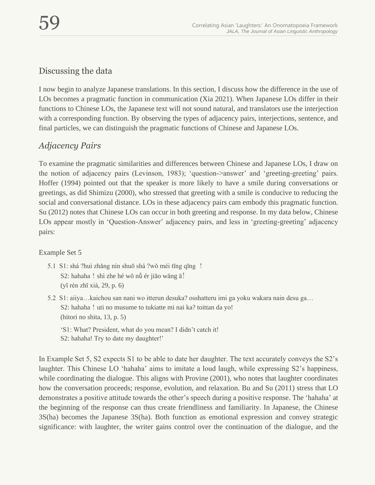## Discussing the data

I now begin to analyze Japanese translations. In this section, I discuss how the difference in the use of LOs becomes a pragmatic function in communication (Xia 2021). When Japanese LOs differ in their functions to Chinese LOs, the Japanese text will not sound natural, and translators use the interjection with a corresponding function. By observing the types of adjacency pairs, interjections, sentence, and final particles, we can distinguish the pragmatic functions of Chinese and Japanese LOs.

## *Adjacency Pairs*

To examine the pragmatic similarities and differences between Chinese and Japanese LOs, I draw on the notion of adjacency pairs (Levinson, 1983); 'question->answer' and 'greeting-greeting' pairs. Hoffer (1994) pointed out that the speaker is more likely to have a smile during conversations or greetings, as did Shimizu (2000), who stressed that greeting with a smile is conducive to reducing the social and conversational distance. LOs in these adjacency pairs cam embody this pragmatic function. Su (2012) notes that Chinese LOs can occur in both greeting and response. In my data below, Chinese LOs appear mostly in 'Question-Answer' adjacency pairs, and less in 'greeting-greeting' adjacency pairs:

#### Example Set 5

- 5.1 S1: shá ?huì zhǎng nín shuō shá ?wǒ méi tīng qīng ! S2: hahaha ! shì zhe hé wǒ nǚ ér jiāo wǎng ā! (yī rén zhī xià, 29, p. 6)
- 5.2 S1: aiiya…kaichou san nani wo itterun desuka? osshatteru imi ga yoku wakara nain desu ga… S2: hahaha! uti no musume to tukiatte mi nai ka? toittan da yo! (hitori no shita, 13, p. 5)
	- 'S1: What? President, what do you mean? I didn't catch it! S2: hahaha! Try to date my daughter!'

In Example Set 5, S2 expects S1 to be able to date her daughter. The text accurately conveys the S2's laughter. This Chinese LO 'hahaha' aims to imitate a loud laugh, while expressing S2's happiness, while coordinating the dialogue. This aligns with Provine (2001), who notes that laughter coordinates how the conversation proceeds; response, evolution, and relaxation. Bu and Su (2011) stress that LO demonstrates a positive attitude towards the other's speech during a positive response. The 'hahaha' at the beginning of the response can thus create friendliness and familiarity. In Japanese, the Chinese 3S(ha) becomes the Japanese 3S(ha). Both function as emotional expression and convey strategic significance: with laughter, the writer gains control over the continuation of the dialogue, and the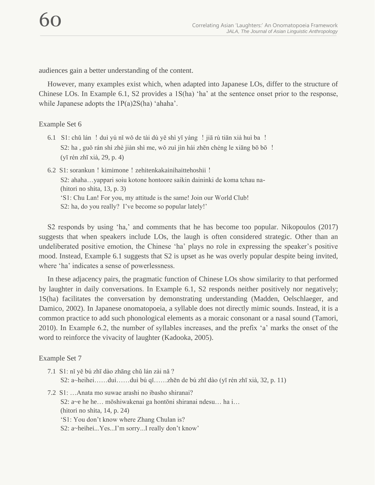audiences gain a better understanding of the content.

However, many examples exist which, when adapted into Japanese LOs, differ to the structure of Chinese LOs. In Example 6.1, S2 provides a 1S(ha) 'ha' at the sentence onset prior to the response, while Japanese adopts the 1P(a)2S(ha) 'ahaha'.

#### Example Set 6

- 6.1 S1: chǔ lán ! duì yú nǐ wǒ de tài dù yě shì yī yàng ! jiā rù tiān xià huì ba ! S2: ha , guǒ rán shì zhè jiàn shì me, wǒ zuì jìn hái zhēn chéng le xiāng bō bō ! (yī rén zhī xià, 29, p. 4)
- 6.2 S1: sorankun ! kimimone ! zehitenkakainihaittehoshii ! S2: ahaha…yappari soiu kotone hontoore saikin daininki de koma tchau na- (hitori no shita, 13, p. 3) 'S1: Chu Lan! For you, my attitude is the same! Join our World Club! S2: ha, do you really? I've become so popular lately!'

S2 responds by using 'ha,' and comments that he has become too popular. Nikopoulos (2017) suggests that when speakers include LOs, the laugh is often considered strategic. Other than an undeliberated positive emotion, the Chinese 'ha' plays no role in expressing the speaker's positive mood. Instead, Example 6.1 suggests that S2 is upset as he was overly popular despite being invited, where 'ha' indicates a sense of powerlessness.

In these adjacency pairs, the pragmatic function of Chinese LOs show similarity to that performed by laughter in daily conversations. In Example 6.1, S2 responds neither positively nor negatively; 1S(ha) facilitates the conversation by demonstrating understanding (Madden, Oelschlaeger, and Damico, 2002). In Japanese onomatopoeia, a syllable does not directly mimic sounds. Instead, it is a common practice to add such phonological elements as a moraic consonant or a nasal sound (Tamori, 2010). In Example 6.2, the number of syllables increases, and the prefix 'a' marks the onset of the word to reinforce the vivacity of laughter (Kadooka, 2005).

#### Example Set 7

- 7.1 S1: nǐ yě bú zhī dào zhāng chǔ lán zài nǎ ? S2: a~heihei……duì……duì bú qǐ……zhēn de bú zhī dào (yī rén zhī xià, 32, p. 11)
- 7.2 S1: …Anata mo suwae arashi no ibasho shiranai? S2: a~e he he… mōshiwakenai ga hontōni shiranai ndesu… ha i… (hitori no shita, 14, p. 24) 'S1: You don't know where Zhang Chulan is? S2: a~heihei...Yes...I'm sorry...I really don't know'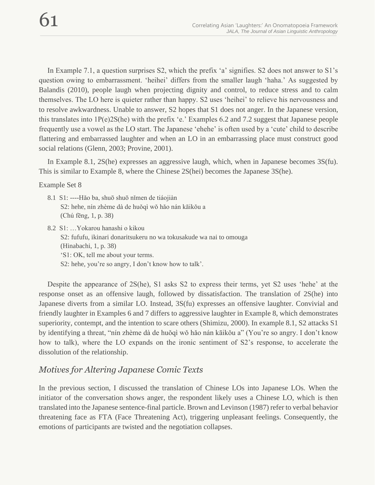In Example 7.1, a question surprises S2, which the prefix 'a' signifies. S2 does not answer to S1's question owing to embarrassment. 'heihei' differs from the smaller laugh 'haha.' As suggested by Balandis (2010), people laugh when projecting dignity and control, to reduce stress and to calm themselves. The LO here is quieter rather than happy. S2 uses 'heihei' to relieve his nervousness and to resolve awkwardness. Unable to answer, S2 hopes that S1 does not anger. In the Japanese version, this translates into 1P(e)2S(he) with the prefix 'e.' Examples 6.2 and 7.2 suggest that Japanese people frequently use a vowel as the LO start. The Japanese 'ehehe' is often used by a 'cute' child to describe flattering and embarrassed laughter and when an LO in an embarrassing place must construct good social relations (Glenn, 2003; Provine, 2001).

In Example 8.1, 2S(he) expresses an aggressive laugh, which, when in Japanese becomes 3S(fu). This is similar to Example 8, where the Chinese 2S(hei) becomes the Japanese 3S(he).

Example Set 8

- 8.1 S1: ----Hǎo ba, shuō shuō nǐmen de tiáojiàn S2: hehe, nín zhème dà de huǒqì wǒ hǎo nán kāikǒu a (Chú fēng, 1, p. 38)
- 8.2 S1: …Yokarou hanashi o kikou S2: fufufu, ikinari donaritsukeru no wa tokusakude wa nai to omouga (Hinabachi, 1, p. 38) 'S1: OK, tell me about your terms. S2: hehe, you're so angry, I don't know how to talk'.

Despite the appearance of 2S(he), S1 asks S2 to express their terms, yet S2 uses 'hehe' at the response onset as an offensive laugh, followed by dissatisfaction. The translation of 2S(he) into Japanese diverts from a similar LO. Instead, 3S(fu) expresses an offensive laughter. Convivial and friendly laughter in Examples 6 and 7 differs to aggressive laughter in Example 8, which demonstrates superiority, contempt, and the intention to scare others (Shimizu, 2000). In example 8.1, S2 attacks S1 by identifying a threat, "nín zhème dà de huǒqì wǒ hǎo nán kāikǒu a" (You're so angry. I don't know how to talk), where the LO expands on the ironic sentiment of S2's response, to accelerate the dissolution of the relationship.

## *Motives for Altering Japanese Comic Texts*

In the previous section, I discussed the translation of Chinese LOs into Japanese LOs. When the initiator of the conversation shows anger, the respondent likely uses a Chinese LO, which is then translated into the Japanese sentence-final particle. Brown and Levinson (1987) refer to verbal behavior threatening face as FTA (Face Threatening Act), triggering unpleasant feelings. Consequently, the emotions of participants are twisted and the negotiation collapses.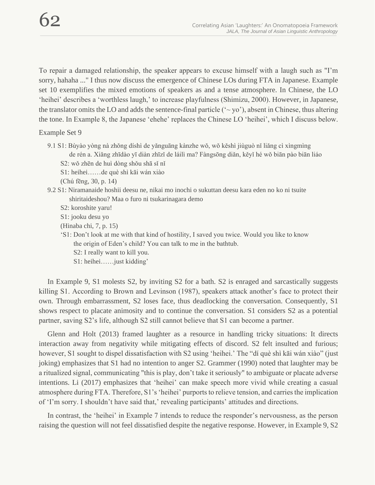To repair a damaged relationship, the speaker appears to excuse himself with a laugh such as "I'm sorry, hahaha ..." I thus now discuss the emergence of Chinese LOs during FTA in Japanese. Example set 10 exemplifies the mixed emotions of speakers as and a tense atmosphere. In Chinese, the LO 'heihei' describes a 'worthless laugh,' to increase playfulness (Shimizu, 2000). However, in Japanese, the translator omits the LO and adds the sentence-final particle ( $\sim$  yo'), absent in Chinese, thus altering the tone. In Example 8, the Japanese 'ehehe' replaces the Chinese LO 'heihei', which I discuss below.

#### Example Set 9

- 9.1 S1: Bùyào yòng nà zhǒng díshì de yǎnguāng kànzhe wǒ, wǒ kěshì jiùguò nǐ liǎng cì xìngmìng de rén a. Xiǎng zhīdào yī diàn zhīzǐ de láilì ma? Fàngsōng diǎn, kěyǐ hé wǒ biān pào biān liáo S2: wǒ zhēn de huì dòng shǒu shā sǐ nǐ
	- S1: heihei……de què shì kāi wán xiào
	- (Chú fēng, 30, p. 14)
- 9.2 S1: Niramanaide hoshii deesu ne, nikai mo inochi o sukuttan deesu kara eden no ko ni tsuite shiritaideshou? Maa o furo ni tsukarinagara demo
	- S2: koroshite yaru!
	- S1: jooku desu yo
	- (Hinaba chi, 7, p. 15)
	- 'S1: Don't look at me with that kind of hostility, I saved you twice. Would you like to know the origin of Eden's child? You can talk to me in the bathtub.
		- S2: I really want to kill you.
		- S1: heihei……just kidding'

In Example 9, S1 molests S2, by inviting S2 for a bath. S2 is enraged and sarcastically suggests killing S1. According to Brown and Levinson (1987), speakers attack another's face to protect their own. Through embarrassment, S2 loses face, thus deadlocking the conversation. Consequently, S1 shows respect to placate animosity and to continue the conversation. S1 considers S2 as a potential partner, saving S2's life, although S2 still cannot believe that S1 can become a partner.

Glenn and Holt (2013) framed laughter as a resource in handling tricky situations: It directs interaction away from negativity while mitigating effects of discord. S2 felt insulted and furious; however, S1 sought to dispel dissatisfaction with S2 using 'heihei.' The "dí què shì kāi wán xiào" (just joking) emphasizes that S1 had no intention to anger S2. Grammer (1990) noted that laughter may be a ritualized signal, communicating "this is play, don't take it seriously" to ambiguate or placate adverse intentions. Li (2017) emphasizes that 'heihei' can make speech more vivid while creating a casual atmosphere during FTA. Therefore, S1's 'heihei' purports to relieve tension, and carries the implication of 'I'm sorry. I shouldn't have said that,' revealing participants' attitudes and directions.

In contrast, the 'heihei' in Example 7 intends to reduce the responder's nervousness, as the person raising the question will not feel dissatisfied despite the negative response. However, in Example 9, S2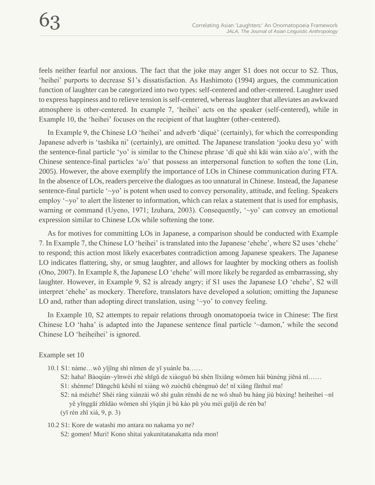feels neither fearful nor anxious. The fact that the joke may anger S1 does not occur to S2. Thus, 'heihei' purports to decrease S1's dissatisfaction. As Hashimoto (1994) argues, the communication function of laughter can be categorized into two types: self-centered and other-centered. Laughter used to express happiness and to relieve tension is self-centered, whereas laughter that alleviates an awkward atmosphere is other-centered. In example 7, 'heihei' acts on the speaker (self-centered), while in Example 10, the 'heihei' focuses on the recipient of that laughter (other-centered).

In Example 9, the Chinese LO 'heihei' and adverb 'díquè' (certainly), for which the corresponding Japanese adverb is 'tashika ni' (certainly), are omitted. The Japanese translation 'jooku desu yo' with the sentence-final particle 'yo' is similar to the Chinese phrase 'dí què shì kāi wán xiào a/o', with the Chinese sentence-final particles 'a/o' that possess an interpersonal function to soften the tone (Lin, 2005). However, the above exemplify the importance of LOs in Chinese communication during FTA. In the absence of LOs, readers perceive the dialogues as too unnatural in Chinese. Instead, the Japanese sentence-final particle '~yo' is potent when used to convey personality, attitude, and feeling. Speakers employ '~yo' to alert the listener to information, which can relax a statement that is used for emphasis, warning or command (Uyeno, 1971; Izuhara, 2003). Consequently, '~yo' can convey an emotional expression similar to Chinese LOs while softening the tone.

As for motives for committing LOs in Japanese, a comparison should be conducted with Example 7. In Example 7, the Chinese LO 'heihei' is translated into the Japanese 'ehehe', where S2 uses 'ehehe' to respond; this action most likely exacerbates contradiction among Japanese speakers. The Japanese LO indicates flattering, shy, or smug laughter, and allows for laughter by mocking others as foolish (Ono, 2007). In Example 8, the Japanese LO 'ehehe' will more likely be regarded as embarrassing, shy laughter. However, in Example 9, S2 is already angry; if S1 uses the Japanese LO 'ehehe', S2 will interpret 'ehehe' as mockery. Therefore, translators have developed a solution; omitting the Japanese LO and, rather than adopting direct translation, using '~yo' to convey feeling.

In Example 10, S2 attempts to repair relations through onomatopoeia twice in Chinese: The first Chinese LO 'haha' is adapted into the Japanese sentence final particle '~damon,' while the second Chinese LO 'heiheihei' is ignored.

Example set 10

- 10.1 S1: nàme…wǒ yǐjīng shì nǐmen de yī yuánle ba……
	- S2: haha! Bàoqiàn~yīnwèi zhè shīgǔ de xiàoguǒ bù shèn lǐxiǎng wǒmen hái bùnéng jiēnà nǐ……
	- S1: shénme! Dāngchū kěshì nǐ xiàng wǒ zuòchū chéngnuò de! nǐ xiǎng fǎnhuǐ ma!
	- S2: nà méizhé! Shéi ràng xiànzài wǒ shì guǎn rénshì de ne wǒ shuō bu háng jiù bùxíng! heiheihei ~nǐ yě yīnggāi zhīdào wǒmen shì yīqún jì bù kào pǔ yòu méi guījǔ de rén ba!
	- (yī rén zhī xià, 9, p. 3)
- 10.2 S1: Kore de watashi mo antara no nakama yo ne? S2: gomen! Muri! Kono shitai yakunitatanakatta nda mon!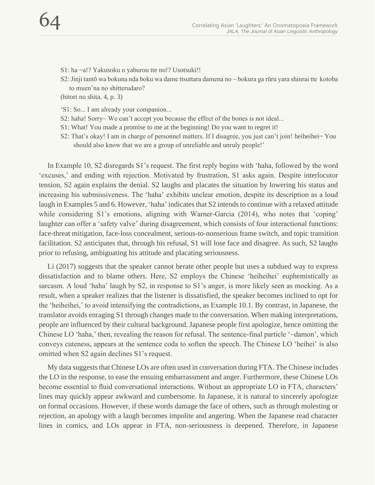S1: ha ~a!? Yakusoku o yaburou tte no!? Usotsuki!!

S2: Jinji tantō wa bokuna nda boku wa dame ttsuttara damena no ~ bokura ga rūru yara shinrai tte kotoba to muen'na no shitterudaro?

(hitori no shita, 4, p. 3)

'S1: So... I am already your companion...

- S2: haha! Sorry~ We can't accept you because the effect of the bones is not ideal...
- S1: What! You made a promise to me at the beginning! Do you want to regret it!
- S2: That's okay! I am in charge of personnel matters. If I disagree, you just can't join! heiheihei~ You should also know that we are a group of unreliable and unruly people!'

In Example 10, S2 disregards S1's request. The first reply begins with 'haha, followed by the word 'excuses,' and ending with rejection. Motivated by frustration, S1 asks again. Despite interlocutor tension, S2 again explains the denial. S2 laughs and placates the situation by lowering his status and increasing his submissiveness. The 'haha' exhibits unclear emotion, despite its description as a loud laugh in Examples 5 and 6. However, 'haha' indicates that S2 intends to continue with a relaxed attitude while considering S1's emotions, aligning with Warner-Garcia (2014), who notes that 'coping' laughter can offer a 'safety valve' during disagreement, which consists of four interactional functions: face-threat mitigation, face-loss concealment, serious-to-nonserious frame switch, and topic transition facilitation. S2 anticipates that, through his refusal, S1 will lose face and disagree. As such, S2 laughs prior to refusing, ambiguating his attitude and placating seriousness.

Li (2017) suggests that the speaker cannot berate other people but uses a subdued way to express dissatisfaction and to blame others. Here, S2 employs the Chinese 'heiheihei' euphemistically as sarcasm. A loud 'haha' laugh by S2, in response to S1's anger, is more likely seen as mocking. As a result, when a speaker realizes that the listener is dissatisfied, the speaker becomes inclined to opt for the 'heiheihei,' to avoid intensifying the contradictions, as Example 10.1. By contrast, in Japanese, the translator avoids enraging S1 through changes made to the conversation. When making interpretations, people are influenced by their cultural background. Japanese people first apologize, hence omitting the Chinese LO 'haha,' then, revealing the reason for refusal. The sentence-final particle '~damon', which conveys cuteness, appears at the sentence coda to soften the speech. The Chinese LO 'heihei' is also omitted when S2 again declines S1's request.

My data suggests that Chinese LOs are often used in conversation during FTA. The Chinese includes the LO in the response, to ease the ensuing embarrassment and anger. Furthermore, these Chinese LOs become essential to fluid conversational interactions. Without an appropriate LO in FTA, characters' lines may quickly appear awkward and cumbersome. In Japanese, it is natural to sincerely apologize on formal occasions. However, if these words damage the face of others, such as through molesting or rejection, an apology with a laugh becomes impolite and angering. When the Japanese read character lines in comics, and LOs appear in FTA, non-seriousness is deepened. Therefore, in Japanese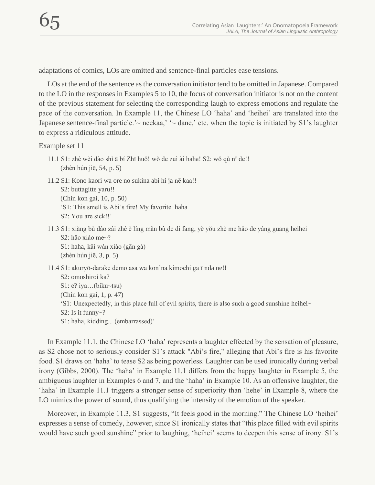adaptations of comics, LOs are omitted and sentence-final particles ease tensions.

LOs at the end of the sentence as the conversation initiator tend to be omitted in Japanese. Compared to the LO in the responses in Examples 5 to 10, the focus of conversation initiator is not on the content of the previous statement for selecting the corresponding laugh to express emotions and regulate the pace of the conversation. In Example 11, the Chinese LO 'haha' and 'heihei' are translated into the Japanese sentence-final particle.' $\sim$  neekaa,' ' $\sim$  dane,' etc. when the topic is initiated by S1's laughter to express a ridiculous attitude.

Example set 11

- 11.1 S1: zhè wèi dào shì ā bí Zhī huǒ! wǒ de zuì ài haha! S2: wǒ qù nǐ de!! (zhèn hún jiē, 54, p. 5)
- 11.2 S1: Kono kaori wa ore no sukina abi hi ja nē kaa!! S2: buttagitte yaru!! (Chin kon gai, 10, p. 50) 'S1: This smell is Abi's fire! My favorite haha S2: You are sick!!'
- 11.3 S1: xiǎng bù dào zài zhè è líng mǎn bù de dì fāng, yě yǒu zhè me hǎo de yáng guāng heihei S2: hǎo xiào me~? S1: haha, kāi wán xiào (gān gà) (zhèn hún jiē, 3, p. 5)
- 11.4 S1: akuryō-darake demo asa wa kon'na kimochi ga ī nda ne!! S2: omoshiroi ka? S1: e? iya…(biku~tsu) (Chin kon gai, 1, p. 47) 'S1: Unexpectedly, in this place full of evil spirits, there is also such a good sunshine heihei~ S2: Is it funny~? S1: haha, kidding... (embarrassed)'

In Example 11.1, the Chinese LO 'haha' represents a laughter effected by the sensation of pleasure, as S2 chose not to seriously consider S1's attack "Abi's fire," alleging that Abi's fire is his favorite food. S1 draws on 'haha' to tease S2 as being powerless. Laughter can be used ironically during verbal irony (Gibbs, 2000). The 'haha' in Example 11.1 differs from the happy laughter in Example 5, the ambiguous laughter in Examples 6 and 7, and the 'haha' in Example 10. As an offensive laughter, the 'haha' in Example 11.1 triggers a stronger sense of superiority than 'hehe' in Example 8, where the LO mimics the power of sound, thus qualifying the intensity of the emotion of the speaker.

Moreover, in Example 11.3, S1 suggests, "It feels good in the morning." The Chinese LO 'heihei' expresses a sense of comedy, however, since S1 ironically states that "this place filled with evil spirits would have such good sunshine" prior to laughing, 'heihei' seems to deepen this sense of irony. S1's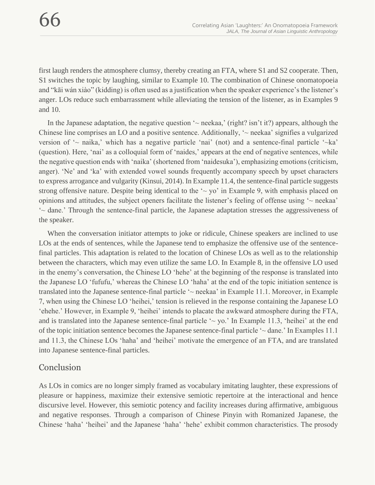first laugh renders the atmosphere clumsy, thereby creating an FTA, where S1 and S2 cooperate. Then, S1 switches the topic by laughing, similar to Example 10. The combination of Chinese onomatopoeia and "kāi wán xiào" (kidding) is often used as a justification when the speaker experience's the listener's anger. LOs reduce such embarrassment while alleviating the tension of the listener, as in Examples 9 and 10.

In the Japanese adaptation, the negative question  $\sim$  neekaa,' (right? isn't it?) appears, although the Chinese line comprises an LO and a positive sentence. Additionally, '~ neekaa' signifies a vulgarized version of  $\sim$  naika,' which has a negative particle 'nai' (not) and a sentence-final particle ' $\sim$ ka' (question). Here, 'nai' as a colloquial form of 'naides,' appears at the end of negative sentences, while the negative question ends with 'naika' (shortened from 'naidesuka'), emphasizing emotions (criticism, anger). 'Ne' and 'ka' with extended vowel sounds frequently accompany speech by upset characters to express arrogance and vulgarity (Kinsui, 2014). In Example 11.4, the sentence-final particle suggests strong offensive nature. Despite being identical to the  $\sim$  yo' in Example 9, with emphasis placed on opinions and attitudes, the subject openers facilitate the listener's feeling of offense using '~ neekaa' '~ dane.' Through the sentence-final particle, the Japanese adaptation stresses the aggressiveness of the speaker.

When the conversation initiator attempts to joke or ridicule, Chinese speakers are inclined to use LOs at the ends of sentences, while the Japanese tend to emphasize the offensive use of the sentencefinal particles. This adaptation is related to the location of Chinese LOs as well as to the relationship between the characters, which may even utilize the same LO. In Example 8, in the offensive LO used in the enemy's conversation, the Chinese LO 'hehe' at the beginning of the response is translated into the Japanese LO 'fufufu,' whereas the Chinese LO 'haha' at the end of the topic initiation sentence is translated into the Japanese sentence-final particle '~ neekaa' in Example 11.1. Moreover, in Example 7, when using the Chinese LO 'heihei,' tension is relieved in the response containing the Japanese LO 'ehehe.' However, in Example 9, 'heihei' intends to placate the awkward atmosphere during the FTA, and is translated into the Japanese sentence-final particle  $\sim$  yo.' In Example 11.3, 'heihei' at the end of the topic initiation sentence becomes the Japanese sentence-final particle '~ dane.' In Examples 11.1 and 11.3, the Chinese LOs 'haha' and 'heihei' motivate the emergence of an FTA, and are translated into Japanese sentence-final particles.

#### Conclusion

As LOs in comics are no longer simply framed as vocabulary imitating laughter, these expressions of pleasure or happiness, maximize their extensive semiotic repertoire at the interactional and hence discursive level. However, this semiotic potency and facility increases during affirmative, ambiguous and negative responses. Through a comparison of Chinese Pinyin with Romanized Japanese, the Chinese 'haha' 'heihei' and the Japanese 'haha' 'hehe' exhibit common characteristics. The prosody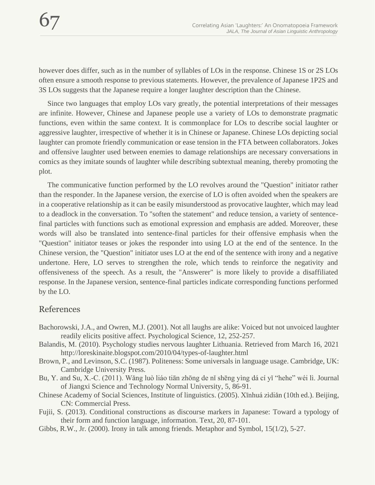however does differ, such as in the number of syllables of LOs in the response. Chinese 1S or 2S LOs often ensure a smooth response to previous statements. However, the prevalence of Japanese 1P2S and 3S LOs suggests that the Japanese require a longer laughter description than the Chinese.

Since two languages that employ LOs vary greatly, the potential interpretations of their messages are infinite. However, Chinese and Japanese people use a variety of LOs to demonstrate pragmatic functions, even within the same context. It is commonplace for LOs to describe social laughter or aggressive laughter, irrespective of whether it is in Chinese or Japanese. Chinese LOs depicting social laughter can promote friendly communication or ease tension in the FTA between collaborators. Jokes and offensive laughter used between enemies to damage relationships are necessary conversations in comics as they imitate sounds of laughter while describing subtextual meaning, thereby promoting the plot.

The communicative function performed by the LO revolves around the "Question" initiator rather than the responder. In the Japanese version, the exercise of LO is often avoided when the speakers are in a cooperative relationship as it can be easily misunderstood as provocative laughter, which may lead to a deadlock in the conversation. To "soften the statement" and reduce tension, a variety of sentencefinal particles with functions such as emotional expression and emphasis are added. Moreover, these words will also be translated into sentence-final particles for their offensive emphasis when the "Question" initiator teases or jokes the responder into using LO at the end of the sentence. In the Chinese version, the "Question" initiator uses LO at the end of the sentence with irony and a negative undertone. Here, LO serves to strengthen the role, which tends to reinforce the negativity and offensiveness of the speech. As a result, the "Answerer" is more likely to provide a disaffiliated response. In the Japanese version, sentence-final particles indicate corresponding functions performed by the LO.

#### References

- Bachorowski, J.A., and Owren, M.J. (2001). Not all laughs are alike: Voiced but not unvoiced laughter readily elicits positive affect. Psychological Science, 12, 252-257.
- Balandis, M. (2010). Psychology studies nervous laughter Lithuania. Retrieved from March 16, 2021 http://loreskinaite.blogspot.com/2010/04/types-of-laughter.html
- Brown, P., and Levinson, S.C. (1987). Politeness: Some universals in language usage. Cambridge, UK: Cambridge University Press.
- Bu, Y. and Su, X.-C. (2011). Wǎng luò liáo tiān zhōng de nǐ shēng yìng dá cí yǐ "hehe" wéi lì. Journal of Jiangxi Science and Technology Normal University, 5, 86-91.
- Chinese Academy of Social Sciences, Institute of linguistics. (2005). Xīnhuá zìdiǎn (10th ed.). Beijing, CN: Commercial Press.
- Fujii, S. (2013). Conditional constructions as discourse markers in Japanese: Toward a typology of their form and function language, information. Text, 20, 87-101.
- Gibbs, R.W., Jr. (2000). Irony in talk among friends. Metaphor and Symbol, 15(1/2), 5-27.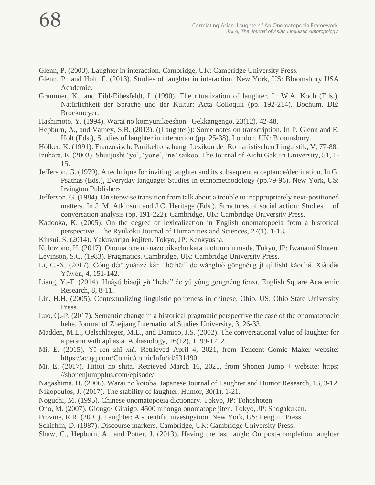- Glenn, P. (2003). Laughter in interaction. Cambridge, UK: Cambridge University Press.
- Glenn, P., and Holt, E. (2013). Studies of laughter in interaction. New York, US: Bloomsbury USA Academic.
- Grammer, K., and Eibl-Eibesfeldt, I. (1990). The ritualization of laughter. In W.A. Koch (Eds.), Natürlichkeit der Sprache und der Kultur: Acta Colloquii (pp. 192-214). Bochum, DE: Brockmeyer.
- Hashimoto, Y. (1994). Warai no komyunikeeshon. Gekkangengo, 23(12), 42-48.
- Hepburn, A., and Varney, S.B. (2013). ((Laughter)): Some notes on transcription. In P. Glenn and E. Holt (Eds.), Studies of laughter in interaction (pp. 25-38). London, UK: Bloomsbury.
- Hölker, K. (1991). Französisch: Partikelforschung. Lexikon der Romanistischen Linguistik, V, 77-88.
- Izuhara, E. (2003). Shuujoshi 'yo', 'yone', 'ne' saikoo. The Journal of Aichi Gakuin University, 51, 1- 15.
- Jefferson, G. (1979). A technique for inviting laughter and its subsequent acceptance/declination. In G. Psathas (Eds.), Everyday language: Studies in ethnomethodology (pp.79-96). New York, US: Irvington Publishers
- Jefferson, G. (1984). On stepwise transition from talk about a trouble to inappropriately next-positioned matters. In J. M. Atkinson and J.C. Heritage (Eds.), Structures of social action: Studies of conversation analysis (pp. 191-222). Cambridge, UK: Cambridge University Press.
- Kadooka, K. (2005). On the degree of lexicalization in English onomatopoeia from a historical perspective. The Ryukoku Journal of Humanities and Sciences, 27(1), 1-13.
- Kinsui, S. (2014). Yakuwarigo kojiten. Tokyo, JP: Kenkyusha.
- Kubozono, H. (2017). Onomatope no nazo pikachu kara mofumofu made. Tokyo, JP: Iwanami Shoten.
- Levinson, S.C. (1983). Pragmatics. Cambridge, UK: Cambridge University Press.
- Li, C.-X. (2017). Cóng détǐ yuánzé kàn "hēihēi" de wǎngluò gōngnéng jí qí lìshǐ kǎochá. Xiàndài Yǔwén, 4, 151-142.
- Liang, Y.-T. (2014). Huàyǔ biāojì yǔ "hēhē" de yǔ yòng gōngnéng fēnxī. English Square Academic Research, 8, 8-11.
- Lin, H.H. (2005). Contextualizing linguistic politeness in chinese. Ohio, US: Ohio State University Press.
- Luo, Q.-P. (2017). Semantic change in a historical pragmatic perspective the case of the onomatopoeic hehe. Journal of Zhejiang International Studies University, 3, 26-33.
- Madden, M.L., Oelschlaeger, M.L., and Damico, J.S. (2002). The conversational value of laughter for a person with aphasia. Aphasiology, 16(12), 1199-1212.
- Mi, E. (2015). Yī rén zhī xià. Retrieved April 4, 2021, from Tencent Comic Maker website: https://ac.qq.com/Comic/comicInfo/id/531490
- Mi, E. (2017). Hitori no shita. Retrieved March 16, 2021, from Shonen Jump + website: https: //shonenjumpplus.com/episode/
- Nagashima, H. (2006). Warai no kotoba. Japanese Journal of Laughter and Humor Research, 13, 3-12. Nikopoulos, J. (2017). The stability of laughter. Humor, 30(1), 1-21.
- Noguchi, M. (1995). Chinese onomatopoeia dictionary. Tokyo, JP: Tohoshoten.
- Ono, M. (2007). Giongo· Gitaigo: 4500 nihongo onomatope jiten. Tokyo, JP: Shogakukan.
- Provine, R.R. (2001). Laughter: A scientific investigation. New York, US: Penguin Press.
- Schiffrin, D. (1987). Discourse markers. Cambridge, UK: Cambridge University Press.

Shaw, C., Hepburn, A., and Potter, J. (2013). Having the last laugh: On post-completion laughter